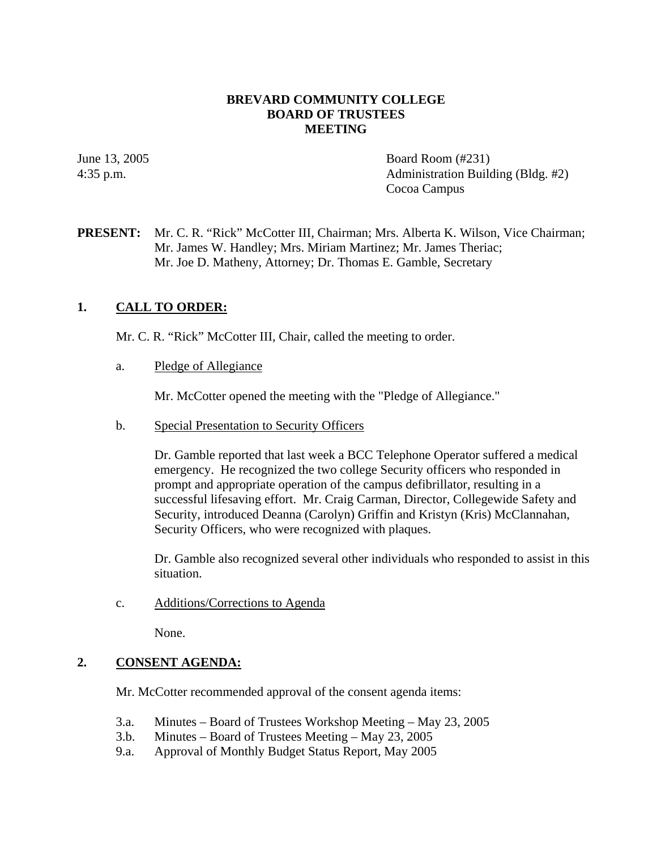## **BREVARD COMMUNITY COLLEGE BOARD OF TRUSTEES MEETING**

June 13, 2005 Board Room (#231) 4:35 p.m. Administration Building (Bldg. #2) Cocoa Campus

# **PRESENT:** Mr. C. R. "Rick" McCotter III, Chairman; Mrs. Alberta K. Wilson, Vice Chairman; Mr. James W. Handley; Mrs. Miriam Martinez; Mr. James Theriac; Mr. Joe D. Matheny, Attorney; Dr. Thomas E. Gamble, Secretary

# **1. CALL TO ORDER:**

Mr. C. R. "Rick" McCotter III, Chair, called the meeting to order.

a. Pledge of Allegiance

Mr. McCotter opened the meeting with the "Pledge of Allegiance."

b. Special Presentation to Security Officers

Dr. Gamble reported that last week a BCC Telephone Operator suffered a medical emergency. He recognized the two college Security officers who responded in prompt and appropriate operation of the campus defibrillator, resulting in a successful lifesaving effort. Mr. Craig Carman, Director, Collegewide Safety and Security, introduced Deanna (Carolyn) Griffin and Kristyn (Kris) McClannahan, Security Officers, who were recognized with plaques.

Dr. Gamble also recognized several other individuals who responded to assist in this situation.

c. Additions/Corrections to Agenda

None.

## **2. CONSENT AGENDA:**

Mr. McCotter recommended approval of the consent agenda items:

- 3.a. Minutes Board of Trustees Workshop Meeting May 23, 2005
- 3.b. Minutes Board of Trustees Meeting May 23, 2005
- 9.a. Approval of Monthly Budget Status Report, May 2005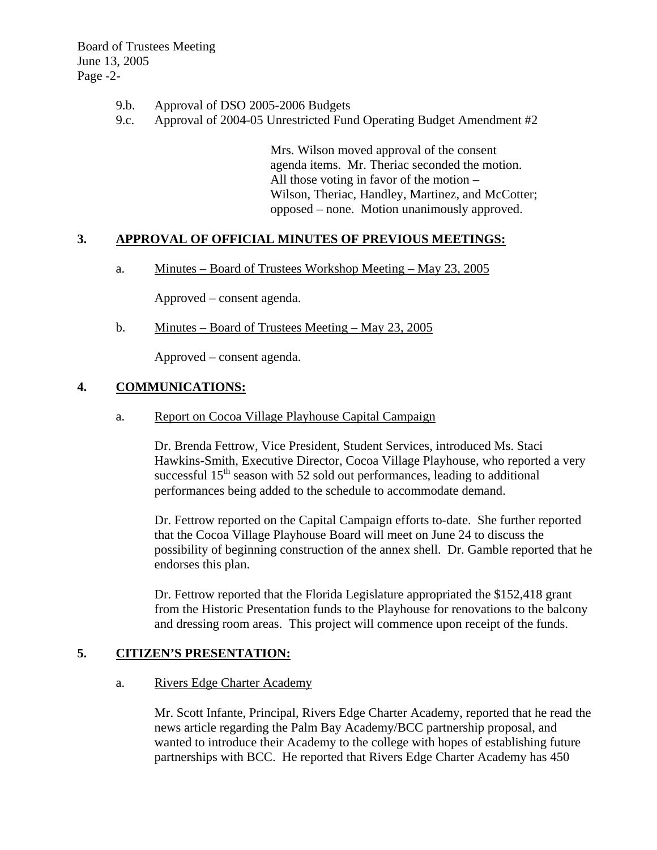Board of Trustees Meeting June 13, 2005 Page -2-

- 9.b. Approval of DSO 2005-2006 Budgets
- 9.c. Approval of 2004-05 Unrestricted Fund Operating Budget Amendment #2

Mrs. Wilson moved approval of the consent agenda items. Mr. Theriac seconded the motion. All those voting in favor of the motion – Wilson, Theriac, Handley, Martinez, and McCotter; opposed – none. Motion unanimously approved.

# **3. APPROVAL OF OFFICIAL MINUTES OF PREVIOUS MEETINGS:**

a. Minutes – Board of Trustees Workshop Meeting – May 23, 2005

Approved – consent agenda.

b. Minutes – Board of Trustees Meeting – May 23, 2005

Approved – consent agenda.

## **4. COMMUNICATIONS:**

a. Report on Cocoa Village Playhouse Capital Campaign

Dr. Brenda Fettrow, Vice President, Student Services, introduced Ms. Staci Hawkins-Smith, Executive Director, Cocoa Village Playhouse, who reported a very successful  $15<sup>th</sup>$  season with 52 sold out performances, leading to additional performances being added to the schedule to accommodate demand.

Dr. Fettrow reported on the Capital Campaign efforts to-date. She further reported that the Cocoa Village Playhouse Board will meet on June 24 to discuss the possibility of beginning construction of the annex shell. Dr. Gamble reported that he endorses this plan.

Dr. Fettrow reported that the Florida Legislature appropriated the \$152,418 grant from the Historic Presentation funds to the Playhouse for renovations to the balcony and dressing room areas. This project will commence upon receipt of the funds.

## **5. CITIZEN'S PRESENTATION:**

#### a. Rivers Edge Charter Academy

Mr. Scott Infante, Principal, Rivers Edge Charter Academy, reported that he read the news article regarding the Palm Bay Academy/BCC partnership proposal, and wanted to introduce their Academy to the college with hopes of establishing future partnerships with BCC. He reported that Rivers Edge Charter Academy has 450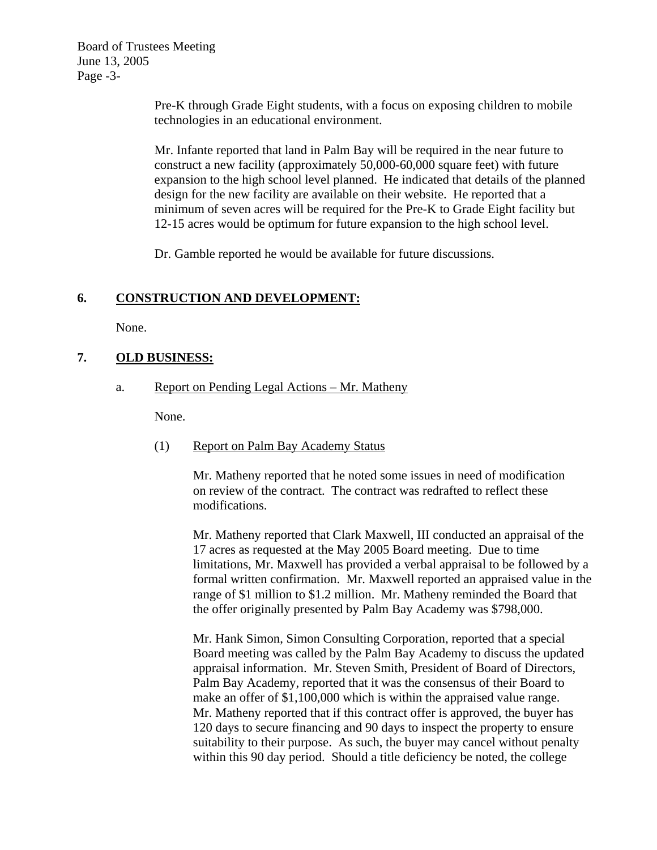Board of Trustees Meeting June 13, 2005 Page -3-

> Pre-K through Grade Eight students, with a focus on exposing children to mobile technologies in an educational environment.

Mr. Infante reported that land in Palm Bay will be required in the near future to construct a new facility (approximately 50,000-60,000 square feet) with future expansion to the high school level planned. He indicated that details of the planned design for the new facility are available on their website. He reported that a minimum of seven acres will be required for the Pre-K to Grade Eight facility but 12-15 acres would be optimum for future expansion to the high school level.

Dr. Gamble reported he would be available for future discussions.

# **6. CONSTRUCTION AND DEVELOPMENT:**

None.

# **7. OLD BUSINESS:**

a. Report on Pending Legal Actions – Mr. Matheny

None.

(1) Report on Palm Bay Academy Status

Mr. Matheny reported that he noted some issues in need of modification on review of the contract. The contract was redrafted to reflect these modifications.

Mr. Matheny reported that Clark Maxwell, III conducted an appraisal of the 17 acres as requested at the May 2005 Board meeting. Due to time limitations, Mr. Maxwell has provided a verbal appraisal to be followed by a formal written confirmation. Mr. Maxwell reported an appraised value in the range of \$1 million to \$1.2 million. Mr. Matheny reminded the Board that the offer originally presented by Palm Bay Academy was \$798,000.

Mr. Hank Simon, Simon Consulting Corporation, reported that a special Board meeting was called by the Palm Bay Academy to discuss the updated appraisal information. Mr. Steven Smith, President of Board of Directors, Palm Bay Academy, reported that it was the consensus of their Board to make an offer of \$1,100,000 which is within the appraised value range. Mr. Matheny reported that if this contract offer is approved, the buyer has 120 days to secure financing and 90 days to inspect the property to ensure suitability to their purpose. As such, the buyer may cancel without penalty within this 90 day period. Should a title deficiency be noted, the college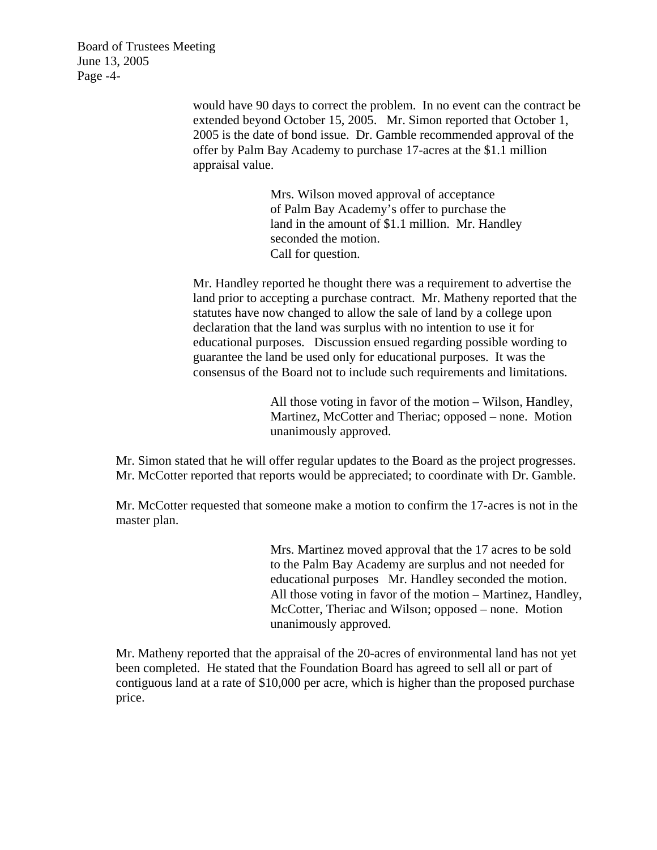Board of Trustees Meeting June 13, 2005 Page -4-

> would have 90 days to correct the problem. In no event can the contract be extended beyond October 15, 2005. Mr. Simon reported that October 1, 2005 is the date of bond issue. Dr. Gamble recommended approval of the offer by Palm Bay Academy to purchase 17-acres at the \$1.1 million appraisal value.

> > Mrs. Wilson moved approval of acceptance of Palm Bay Academy's offer to purchase the land in the amount of \$1.1 million. Mr. Handley seconded the motion. Call for question.

Mr. Handley reported he thought there was a requirement to advertise the land prior to accepting a purchase contract. Mr. Matheny reported that the statutes have now changed to allow the sale of land by a college upon declaration that the land was surplus with no intention to use it for educational purposes. Discussion ensued regarding possible wording to guarantee the land be used only for educational purposes. It was the consensus of the Board not to include such requirements and limitations.

> All those voting in favor of the motion – Wilson, Handley, Martinez, McCotter and Theriac; opposed – none. Motion unanimously approved.

Mr. Simon stated that he will offer regular updates to the Board as the project progresses. Mr. McCotter reported that reports would be appreciated; to coordinate with Dr. Gamble.

Mr. McCotter requested that someone make a motion to confirm the 17-acres is not in the master plan.

> Mrs. Martinez moved approval that the 17 acres to be sold to the Palm Bay Academy are surplus and not needed for educational purposes Mr. Handley seconded the motion. All those voting in favor of the motion – Martinez, Handley, McCotter, Theriac and Wilson; opposed – none. Motion unanimously approved.

Mr. Matheny reported that the appraisal of the 20-acres of environmental land has not yet been completed. He stated that the Foundation Board has agreed to sell all or part of contiguous land at a rate of \$10,000 per acre, which is higher than the proposed purchase price.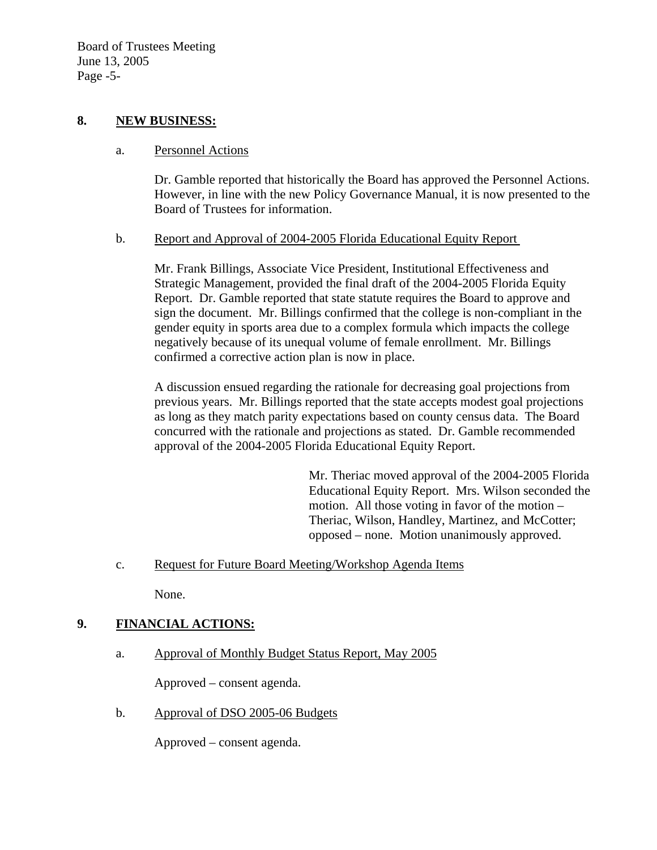## **8. NEW BUSINESS:**

## a. Personnel Actions

Dr. Gamble reported that historically the Board has approved the Personnel Actions. However, in line with the new Policy Governance Manual, it is now presented to the Board of Trustees for information.

# b. Report and Approval of 2004-2005 Florida Educational Equity Report

Mr. Frank Billings, Associate Vice President, Institutional Effectiveness and Strategic Management, provided the final draft of the 2004-2005 Florida Equity Report. Dr. Gamble reported that state statute requires the Board to approve and sign the document. Mr. Billings confirmed that the college is non-compliant in the gender equity in sports area due to a complex formula which impacts the college negatively because of its unequal volume of female enrollment. Mr. Billings confirmed a corrective action plan is now in place.

A discussion ensued regarding the rationale for decreasing goal projections from previous years. Mr. Billings reported that the state accepts modest goal projections as long as they match parity expectations based on county census data. The Board concurred with the rationale and projections as stated. Dr. Gamble recommended approval of the 2004-2005 Florida Educational Equity Report.

> Mr. Theriac moved approval of the 2004-2005 Florida Educational Equity Report. Mrs. Wilson seconded the motion. All those voting in favor of the motion – Theriac, Wilson, Handley, Martinez, and McCotter; opposed – none. Motion unanimously approved.

c. Request for Future Board Meeting/Workshop Agenda Items

None.

# **9. FINANCIAL ACTIONS:**

a. Approval of Monthly Budget Status Report, May 2005

Approved – consent agenda.

b. Approval of DSO 2005-06 Budgets

Approved – consent agenda.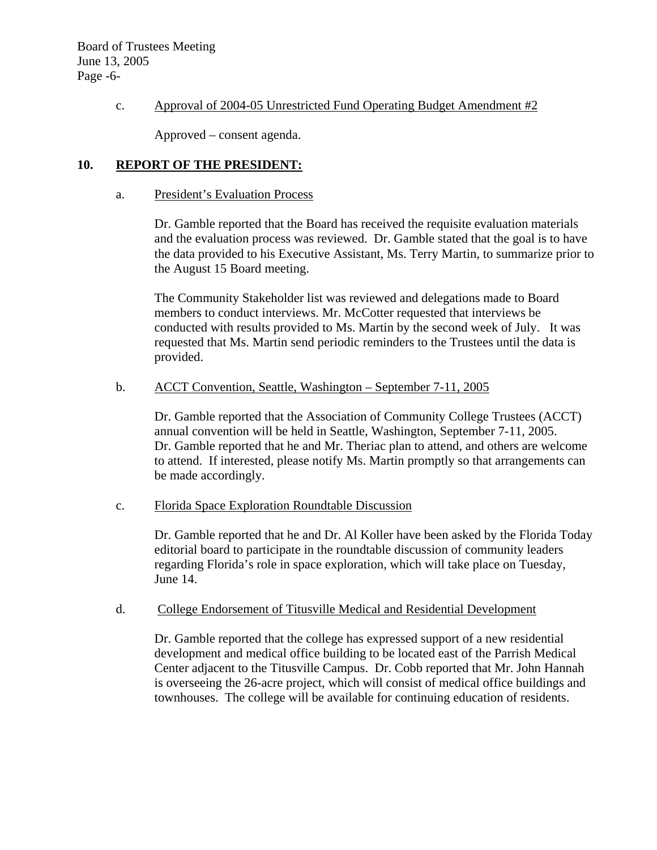Board of Trustees Meeting June 13, 2005 Page -6-

## c. Approval of 2004-05 Unrestricted Fund Operating Budget Amendment #2

Approved – consent agenda.

# **10. REPORT OF THE PRESIDENT:**

### a. President's Evaluation Process

Dr. Gamble reported that the Board has received the requisite evaluation materials and the evaluation process was reviewed. Dr. Gamble stated that the goal is to have the data provided to his Executive Assistant, Ms. Terry Martin, to summarize prior to the August 15 Board meeting.

The Community Stakeholder list was reviewed and delegations made to Board members to conduct interviews. Mr. McCotter requested that interviews be conducted with results provided to Ms. Martin by the second week of July. It was requested that Ms. Martin send periodic reminders to the Trustees until the data is provided.

# b. ACCT Convention, Seattle, Washington – September 7-11, 2005

 Dr. Gamble reported that the Association of Community College Trustees (ACCT) annual convention will be held in Seattle, Washington, September 7-11, 2005. Dr. Gamble reported that he and Mr. Theriac plan to attend, and others are welcome to attend. If interested, please notify Ms. Martin promptly so that arrangements can be made accordingly.

#### c. Florida Space Exploration Roundtable Discussion

 Dr. Gamble reported that he and Dr. Al Koller have been asked by the Florida Today editorial board to participate in the roundtable discussion of community leaders regarding Florida's role in space exploration, which will take place on Tuesday, June 14.

#### d. College Endorsement of Titusville Medical and Residential Development

Dr. Gamble reported that the college has expressed support of a new residential development and medical office building to be located east of the Parrish Medical Center adjacent to the Titusville Campus. Dr. Cobb reported that Mr. John Hannah is overseeing the 26-acre project, which will consist of medical office buildings and townhouses. The college will be available for continuing education of residents.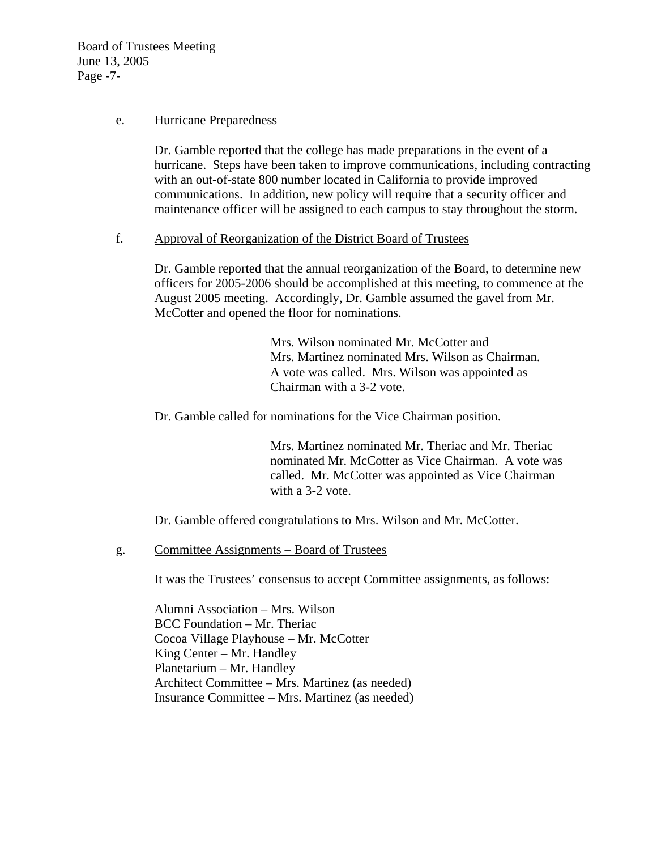Board of Trustees Meeting June 13, 2005 Page -7-

### e. Hurricane Preparedness

Dr. Gamble reported that the college has made preparations in the event of a hurricane. Steps have been taken to improve communications, including contracting with an out-of-state 800 number located in California to provide improved communications. In addition, new policy will require that a security officer and maintenance officer will be assigned to each campus to stay throughout the storm.

## f. Approval of Reorganization of the District Board of Trustees

Dr. Gamble reported that the annual reorganization of the Board, to determine new officers for 2005-2006 should be accomplished at this meeting, to commence at the August 2005 meeting. Accordingly, Dr. Gamble assumed the gavel from Mr. McCotter and opened the floor for nominations.

> Mrs. Wilson nominated Mr. McCotter and Mrs. Martinez nominated Mrs. Wilson as Chairman. A vote was called. Mrs. Wilson was appointed as Chairman with a 3-2 vote.

Dr. Gamble called for nominations for the Vice Chairman position.

Mrs. Martinez nominated Mr. Theriac and Mr. Theriac nominated Mr. McCotter as Vice Chairman. A vote was called. Mr. McCotter was appointed as Vice Chairman with a 3-2 vote.

Dr. Gamble offered congratulations to Mrs. Wilson and Mr. McCotter.

g. Committee Assignments – Board of Trustees

It was the Trustees' consensus to accept Committee assignments, as follows:

Alumni Association – Mrs. Wilson BCC Foundation – Mr. Theriac Cocoa Village Playhouse – Mr. McCotter King Center – Mr. Handley Planetarium – Mr. Handley Architect Committee – Mrs. Martinez (as needed) Insurance Committee – Mrs. Martinez (as needed)